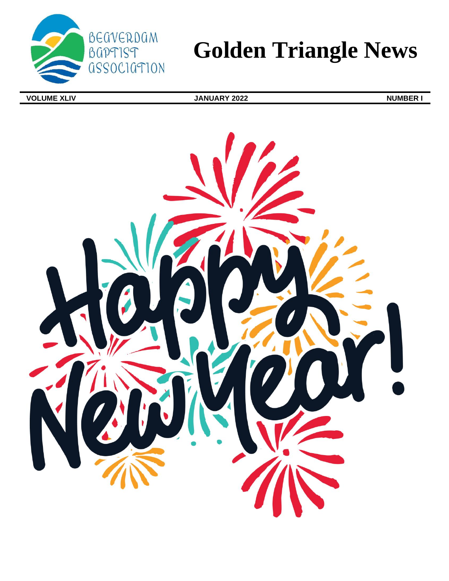

# **Golden Triangle News**

**VOLUME XLIV IMPLEAD IN STRAIGHT AND STRAIGHT STRAIGHT AND STRAIGHT AND STRAIGHT AND STRAIGHT AND STRAIGHT AND STRAIGHT AND STRAIGHT AND STRAIGHT AND STRAIGHT AND STRAIGHT AND STRAIGHT AND STRAIGHT AND STRAIGHT AND STRAI** 

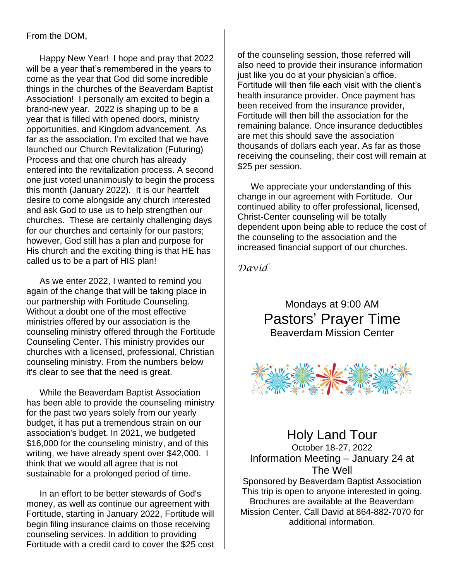### From the DOM,

Happy New Year! I hope and pray that 2022 will be a year that's remembered in the years to come as the year that God did some incredible things in the churches of the Beaverdam Baptist Association! I personally am excited to begin a brand-new year. 2022 is shaping up to be a year that is filled with opened doors, ministry opportunities, and Kingdom advancement. As far as the association, I'm excited that we have launched our Church Revitalization (Futuring) Process and that one church has already entered into the revitalization process. A second one just voted unanimously to begin the process this month (January 2022). It is our heartfelt desire to come alongside any church interested and ask God to use us to help strengthen our churches. These are certainly challenging days for our churches and certainly for our pastors; however, God still has a plan and purpose for His church and the exciting thing is that HE has called us to be a part of HIS plan!

As we enter 2022, I wanted to remind you again of the change that will be taking place in our partnership with Fortitude Counseling. Without a doubt one of the most effective ministries offered by our association is the counseling ministry offered through the Fortitude Counseling Center. This ministry provides our churches with a licensed, professional, Christian counseling ministry. From the numbers below it's clear to see that the need is great.

While the Beaverdam Baptist Association has been able to provide the counseling ministry for the past two years solely from our yearly budget, it has put a tremendous strain on our association's budget. In 2021, we budgeted \$16,000 for the counseling ministry, and of this writing, we have already spent over \$42,000. I think that we would all agree that is not sustainable for a prolonged period of time.

In an effort to be better stewards of God's money, as well as continue our agreement with Fortitude, starting in January 2022, Fortitude will begin filing insurance claims on those receiving counseling services. In addition to providing Fortitude with a credit card to cover the \$25 cost of the counseling session, those referred will also need to provide their insurance information just like you do at your physician's office. Fortitude will then file each visit with the client's health insurance provider. Once payment has been received from the insurance provider, Fortitude will then bill the association for the remaining balance. Once insurance deductibles are met this should save the association thousands of dollars each year. As far as those receiving the counseling, their cost will remain at \$25 per session.

We appreciate your understanding of this change in our agreement with Fortitude. Our continued ability to offer professional, licensed, Christ-Center counseling will be totally dependent upon being able to reduce the cost of the counseling to the association and the increased financial support of our churches.

*David*

Mondays at 9:00 AM Pastors' Prayer Time Beaverdam Mission Center



Holy Land Tour October 18-27, 2022 Information Meeting – January 24 at The Well Sponsored by Beaverdam Baptist Association This trip is open to anyone interested in going. Brochures are available at the Beaverdam Mission Center. Call David at 864-882-7070 for additional information.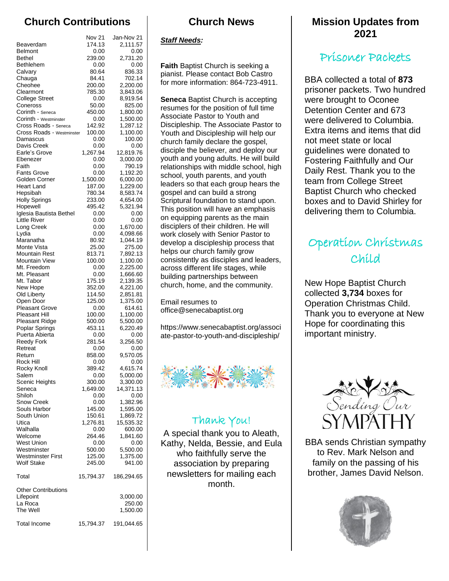# **Church Contributions**

|                                               | Nov 21             | Jan-Nov 21            |
|-----------------------------------------------|--------------------|-----------------------|
| Beaverdam                                     | 174.13             | 2,111.57              |
| <b>Belmont</b>                                | 0.00               | 0.00                  |
| <b>Bethel</b>                                 | 239.00             | 2,731.20              |
| Bethlehem                                     | 0.00               | 0.00                  |
| Calvary<br>Chauga                             | 80.64<br>84.41     | 836.33<br>702.14      |
| Cheohee                                       | 200.00             | 2,200.00              |
| Clearmont                                     | 785.30             | 3,843.06              |
| <b>College Street</b>                         | 0.00               | 8,919.54              |
| Coneross                                      | 50.00              | 825.00                |
| Corinth - Seneca                              | 450.00             | 1.800.00              |
| Corinth - Westminster<br>Cross Roads - Seneca | 0.00<br>142.92     | 1,500.00<br>1,287.12  |
| Cross Roads - Westminster                     | 100.00             | 1,100.00              |
| Damascus                                      | 0.00               | 100.00                |
| Davis Creek                                   | 0.00               | 0.00                  |
| Earle's Grove                                 | 1,267.94           | 12,819.76             |
| Ebenezer                                      | 0.00               | 3,000.00              |
| Faith<br><b>Fants Grove</b>                   | 0.00<br>0.00       | 790.19<br>1,192.20    |
| Golden Corner                                 | 1,500.00           | 6,000.00              |
| <b>Heart Land</b>                             | 187.00             | 1,229.00              |
| Hepsibah                                      | 780.34             | 8,583.74              |
| <b>Holly Springs</b>                          | 233.00             | 4,654.00              |
| Hopewell                                      | 495.42             | 5,321.94              |
| Iglesia Bautista Bethel<br>Little River       | 0.00<br>0.00       | 0.00<br>0.00          |
| Long Creek                                    | 0.00               | 1,670.00              |
| Lydia                                         | 0.00               | 4,098.66              |
| Maranatha                                     | 80.92              | 1,044.19              |
| Monte Vista                                   | 25.00              | 275.00                |
| Mountain Rest                                 | 813.71             | 7,892.13              |
| Mountain View                                 | 100.00             | 1,100.00              |
| Mt. Freedom<br>Mt. Pleasant                   | 0.00<br>0.00       | 2,225.00<br>1,666.60  |
| Mt. Tabor                                     | 175.19             | 2,139.35              |
| New Hope                                      | 352.00             | 4,221.00              |
| Old Liberty                                   | 114.50             | 2,851.81              |
| Open Door                                     | 125.00             | 1,375.00              |
| <b>Pleasant Grove</b>                         | 0.00               | 614.61                |
| <b>Pleasant Hill</b>                          | 100.00             | 1,100.00<br>5,500.00  |
| Pleasant Ridge<br>Poplar Springs              | 500.00<br>453.11   | 6,220.49              |
| Puerta Abierta                                | 0.00               | 0.00                  |
| Reedy Fork                                    | 281.54             | 3,256.50              |
| Retreat                                       | 0.00               | 0.00                  |
| Return                                        | 858.00             | 9,570.05              |
| Rock Hill                                     | 0.00               | 0.00                  |
| Rocky Knoll<br>Salem                          | 389.42<br>0.00     | 4,615.74<br>5,000.00  |
| <b>Scenic Heights</b>                         | 300.00             | 3,300.00              |
| Seneca                                        | 1,649.00           | 14,371.13             |
| Shiloh                                        | 0.00               | 0.00                  |
| Snow Creek                                    | 0.00               | 1,382.96              |
| Souls Harbor                                  | 145.00             | 1,595.00              |
| South Union<br>Utica                          | 150.61<br>1,276.81 | 1,869.72<br>15,535.32 |
| Walhalla                                      | 0.00               | 600.00                |
| Welcome                                       | 264.46             | 1,841.60              |
| <b>West Union</b>                             | 0.00               | 0.00                  |
| Westminster                                   | 500.00             | 5,500.00              |
| <b>Westminster First</b>                      | 125.00             | 1,375.00              |
| <b>Wolf Stake</b>                             | 245.00             | 941.00                |
| Total                                         | 15,794.37          | 186,294.65            |
| <b>Other Contributions</b>                    |                    |                       |
| Lifepoint<br>La Roca                          |                    | 3,000.00              |
| The Well                                      |                    | 250.00<br>1,500.00    |
|                                               |                    |                       |
| <b>Total Income</b>                           | 15,794.37          | 191,044.65            |

### **Church News**

### *Staff Needs:*

**Faith** Baptist Church is seeking a pianist. Please contact Bob Castro for more information: 864-723-4911.

**Seneca** Baptist Church is accepting resumes for the position of full time Associate Pastor to Youth and Discipleship. The Associate Pastor to Youth and Discipleship will help our church family declare the gospel, disciple the believer, and deploy our youth and young adults. He will build relationships with middle school, high school, youth parents, and youth leaders so that each group hears the gospel and can build a strong Scriptural foundation to stand upon. This position will have an emphasis on equipping parents as the main disciplers of their children. He will work closely with Senior Pastor to develop a discipleship process that helps our church family grow consistently as disciples and leaders, across different life stages, while building partnerships between church, home, and the community.

Email resumes to office@senecabaptist.org

https://www.senecabaptist.org/associ ate-pastor-to-youth-and-discipleship/



# Thank You!

A special thank you to Aleath, Kathy, Nelda, Bessie, and Eula who faithfully serve the association by preparing newsletters for mailing each month.

## **Mission Updates from 2021**

# Prisoner Packets

BBA collected a total of **873** prisoner packets. Two hundred were brought to Oconee Detention Center and 673 were delivered to Columbia. Extra items and items that did not meet state or local guidelines were donated to Fostering Faithfully and Our Daily Rest. Thank you to the team from College Street Baptist Church who checked boxes and to David Shirley for delivering them to Columbia.

# Operation Christmas Child

New Hope Baptist Church collected **3,734** boxes for Operation Christmas Child. Thank you to everyone at New Hope for coordinating this important ministry.



BBA sends Christian sympathy to Rev. Mark Nelson and family on the passing of his brother, James David Nelson.